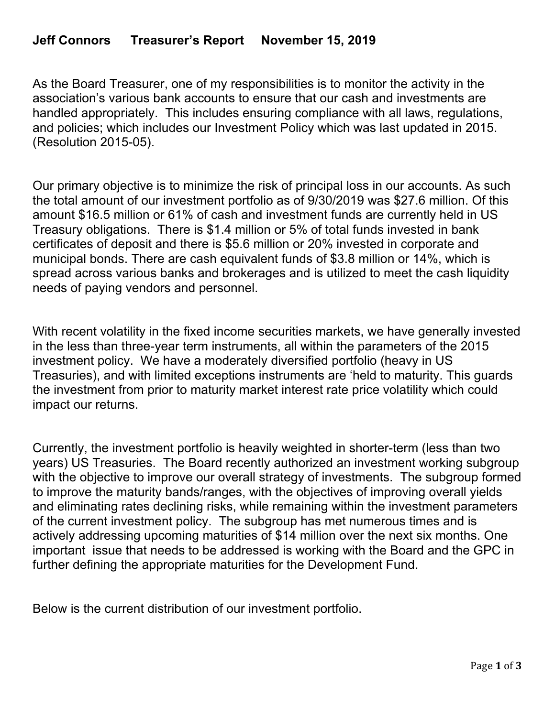As the Board Treasurer, one of my responsibilities is to monitor the activity in the association's various bank accounts to ensure that our cash and investments are handled appropriately. This includes ensuring compliance with all laws, regulations, and policies; which includes our Investment Policy which was last updated in 2015. (Resolution 2015-05).

Our primary objective is to minimize the risk of principal loss in our accounts. As such the total amount of our investment portfolio as of 9/30/2019 was \$27.6 million. Of this amount \$16.5 million or 61% of cash and investment funds are currently held in US Treasury obligations. There is \$1.4 million or 5% of total funds invested in bank certificates of deposit and there is \$5.6 million or 20% invested in corporate and municipal bonds. There are cash equivalent funds of \$3.8 million or 14%, which is spread across various banks and brokerages and is utilized to meet the cash liquidity needs of paying vendors and personnel.

With recent volatility in the fixed income securities markets, we have generally invested in the less than three-year term instruments, all within the parameters of the 2015 investment policy. We have a moderately diversified portfolio (heavy in US Treasuries), and with limited exceptions instruments are 'held to maturity. This guards the investment from prior to maturity market interest rate price volatility which could impact our returns.

Currently, the investment portfolio is heavily weighted in shorter-term (less than two years) US Treasuries. The Board recently authorized an investment working subgroup with the objective to improve our overall strategy of investments. The subgroup formed to improve the maturity bands/ranges, with the objectives of improving overall yields and eliminating rates declining risks, while remaining within the investment parameters of the current investment policy. The subgroup has met numerous times and is actively addressing upcoming maturities of \$14 million over the next six months. One important issue that needs to be addressed is working with the Board and the GPC in further defining the appropriate maturities for the Development Fund.

Below is the current distribution of our investment portfolio.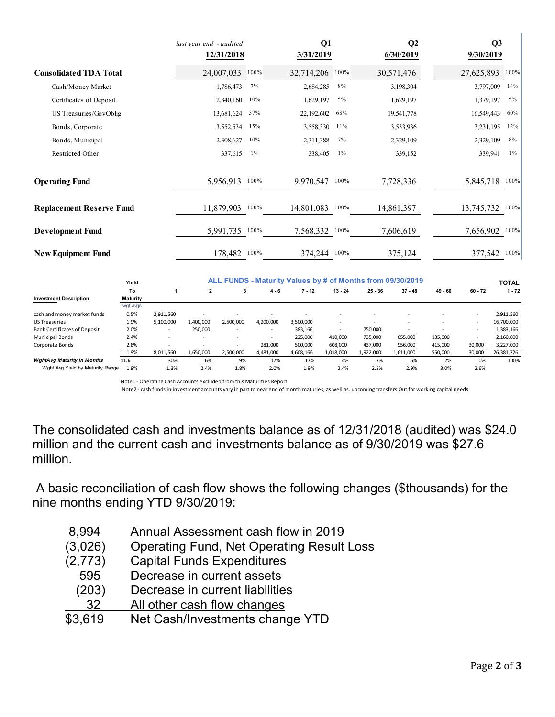|                                 | last year end - audited<br>12/31/2018 | Q1<br>3/31/2019 |            | Q2<br>6/30/2019 | Q <sub>3</sub><br>9/30/2019 |            |       |
|---------------------------------|---------------------------------------|-----------------|------------|-----------------|-----------------------------|------------|-------|
| <b>Consolidated TDA Total</b>   | 24,007,033                            | 100%            | 32,714,206 | 100%            | 30,571,476                  | 27,625,893 | 100%  |
| Cash/Money Market               | 1,786,473                             | 7%              | 2,684,285  | $8\%$           | 3,198,304                   | 3,797,009  | 14%   |
| Certificates of Deposit         | 2,340,160                             | 10%             | 1,629,197  | 5%              | 1,629,197                   | 1,379,197  | $5\%$ |
| US Treasuries/GovOblig          | 13,681,624                            | 57%             | 22,192,602 | 68%             | 19,541,778                  | 16,549,443 | 60%   |
| Bonds, Corporate                | 3,552,534                             | 15%             | 3,558,330  | 11%             | 3,533,936                   | 3,231,195  | 12%   |
| Bonds, Municipal                | 2,308,627                             | 10%             | 2,311,388  | 7%              | 2,329,109                   | 2,329,109  | $8\%$ |
| Restricted Other                | 337,615                               | $1\%$           | 338,405    | $1\%$           | 339,152                     | 339,941    | $1\%$ |
| <b>Operating Fund</b>           | 5,956,913                             | 100%            | 9,970,547  | 100%            | 7,728,336                   | 5,845,718  | 100%  |
| <b>Replacement Reserve Fund</b> | 11,879,903                            | 100%            | 14,801,083 | 100%            | 14,861,397                  | 13,745,732 | 100%  |
| <b>Development Fund</b>         | 5,991,735                             | 100%            | 7,568,332  | 100%            | 7,606,619                   | 7,656,902  | 100%  |
| <b>New Equipment Fund</b>       | 178,482                               | 100%            | 374,244    | 100%            | 375,124                     | 377,542    | 100%  |

|                                     | Yield           | ALL FUNDS - Maturity Values by # of Months from 09/30/2019 |                          |                          |                          |           |           |                          |           |           | <b>TOTAL</b>             |            |
|-------------------------------------|-----------------|------------------------------------------------------------|--------------------------|--------------------------|--------------------------|-----------|-----------|--------------------------|-----------|-----------|--------------------------|------------|
|                                     | To              |                                                            | $\overline{2}$           | 3                        | $4 - 6$                  | 7 - 12    | $13 - 24$ | $25 - 36$                | $37 - 48$ | $49 - 60$ | $60 - 72$                | $1 - 72$   |
| <b>Investment Description</b>       | <b>Maturity</b> |                                                            |                          |                          |                          |           |           |                          |           |           |                          |            |
|                                     | wgt avgs        |                                                            |                          |                          |                          |           |           |                          |           |           |                          |            |
| cash and money market funds         | 0.5%            | 2,911,560                                                  |                          | $\overline{\phantom{a}}$ |                          |           | $\sim$    |                          |           |           | $\overline{\phantom{a}}$ | 2,911,560  |
| <b>US Treasuries</b>                | 1.9%            | 5,100,000                                                  | 1.400.000                | 2,500,000                | 4,200,000                | 3,500,000 | $\sim$    | $\overline{\phantom{a}}$ |           |           | $\overline{\phantom{a}}$ | 16,700,000 |
| <b>Bank Certificates of Deposit</b> | 2.0%            | -                                                          | 250.000                  | $\overline{\phantom{a}}$ | $\overline{\phantom{a}}$ | 383.166   | ۰         | 750.000                  |           |           | $\overline{\phantom{a}}$ | 1,383,166  |
| <b>Municipal Bonds</b>              | 2.4%            | $\sim$                                                     | $\overline{\phantom{a}}$ | $\overline{\phantom{a}}$ | ٠                        | 225,000   | 410,000   | 735.000                  | 655,000   | 135,000   | $\overline{\phantom{a}}$ | 2,160,000  |
| Corporate Bonds                     | 2.8%            | $\overline{\phantom{a}}$                                   | $\overline{\phantom{a}}$ | $\overline{\phantom{a}}$ | 281,000                  | 500,000   | 608,000   | 437.000                  | 956,000   | 415,000   | 30,000                   | 3,227,000  |
|                                     | 1.9%            | 8,011,560                                                  | 1,650,000                | 2,500,000                | 4,481,000                | 4,608,166 | 1,018,000 | 1,922,000                | 1,611,000 | 550,000   | 30,000                   | 26,381,726 |
| <b>WghtAvg Maturity in Months</b>   | 11.6            | 30%                                                        | 6%                       | 9%                       | 17%                      | 17%       | 4%        | 7%                       | 6%        | 2%        | 0%                       | 100%       |
| Wght Avg Yield by Maturity Range    | 1.9%            | 1.3%                                                       | 2.4%                     | 1.8%                     | 2.0%                     | 1.9%      | 2.4%      | 2.3%                     | 2.9%      | 3.0%      | 2.6%                     |            |

Note1 ‐ Operating Cash Accounts excluded from this Maturities Report

Note2 ‐ cash funds in investment accounts vary in part to near end of month maturies, as well as, upcoming transfers Out for working capital needs.

The consolidated cash and investments balance as of 12/31/2018 (audited) was \$24.0 million and the current cash and investments balance as of 9/30/2019 was \$27.6 million.

 A basic reconciliation of cash flow shows the following changes (\$thousands) for the nine months ending YTD 9/30/2019:

 8,994 Annual Assessment cash flow in 2019 (3,026) Operating Fund, Net Operating Result Loss **Capital Funds Expenditures**  595 Decrease in current assets (203) Decrease in current liabilities 32 All other cash flow changes \$3,619 Net Cash/Investments change YTD